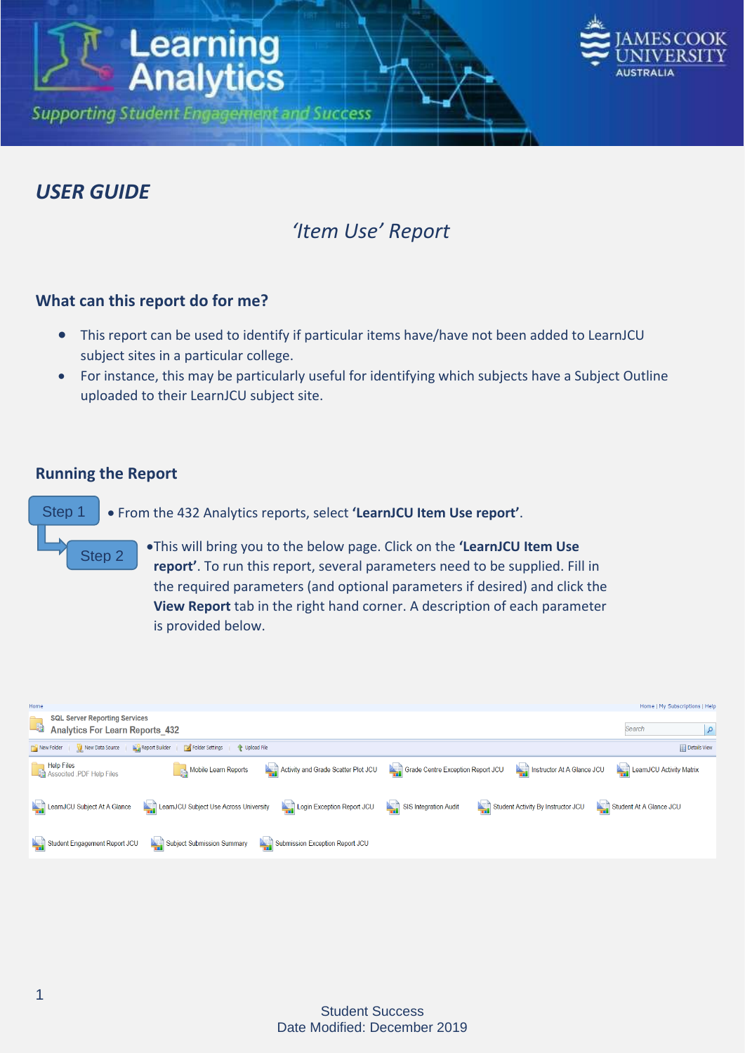

### *USER GUIDE*

## *'Item Use' Report*

#### **What can this report do for me?**

**Learning**<br>**Analytics** 

**Supporting Student Engagement and Success** 

- This report can be used to identify if particular items have/have not been added to LearnJCU subject sites in a particular college.
- For instance, this may be particularly useful for identifying which subjects have a Subject Outline uploaded to their LearnJCU subject site.

#### **Running the Report**

Step 1 From the 432 Analytics reports, select **'LearnJCU Item Use report'**.

- Step 2
	- This will bring you to the below page. Click on the **'LearnJCU Item Use report'**. To run this report, several parameters need to be supplied. Fill in the required parameters (and optional parameters if desired) and click the **View Report** tab in the right hand corner. A description of each parameter is provided below.

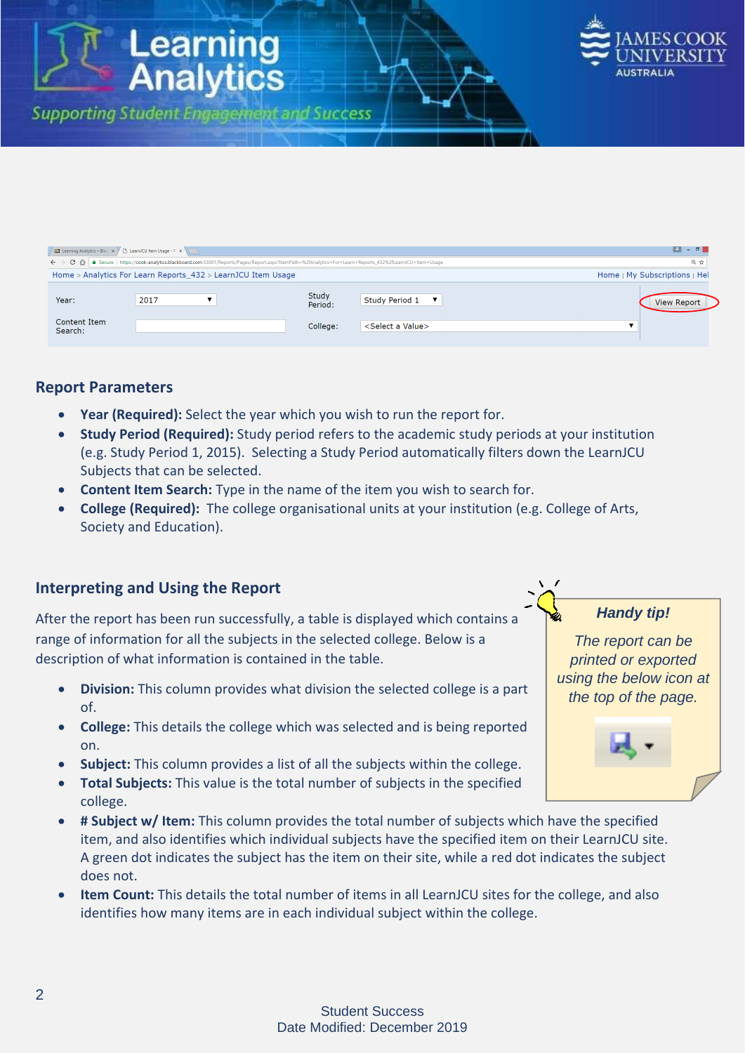

| $\blacksquare$ - $\blacksquare$<br><b>Example 2</b> Learning Analytics - Black $\times$ $\vee$ <sup>n</sup> LearnJCU Item Usage - R $\times$ \\            |                               |                  |                                 |                    |  |  |  |  |  |  |  |  |
|------------------------------------------------------------------------------------------------------------------------------------------------------------|-------------------------------|------------------|---------------------------------|--------------------|--|--|--|--|--|--|--|--|
| ← → C – a Secure   https://cook-analytics.blackboard.com:33001/Reports/Pages/Report.aspx?ItemPath=%2fAnalytics+For+Learn+Reports_432%2fLearnJCU+Item+Usage |                               |                  |                                 |                    |  |  |  |  |  |  |  |  |
| Home > Analytics For Learn Reports 432 > LearnJCU Item Usage                                                                                               | Home   My Subscriptions   Hel |                  |                                 |                    |  |  |  |  |  |  |  |  |
| Year:<br>Content Item                                                                                                                                      | 2017                          | Study<br>Period: | Study Period 1 ▼                | <b>View Report</b> |  |  |  |  |  |  |  |  |
| Search:                                                                                                                                                    |                               | College:         | <select a="" value=""></select> |                    |  |  |  |  |  |  |  |  |

#### **Report Parameters**

**Year (Required):** Select the year which you wish to run the report for.

**Learning**<br>**Analytics** 

**Supporting Student Engagement and Success** 

- **Study Period (Required):** Study period refers to the academic study periods at your institution (e.g. Study Period 1, 2015). Selecting a Study Period automatically filters down the LearnJCU Subjects that can be selected.
- **Content Item Search:** Type in the name of the item you wish to search for.
- **College (Required):** The college organisational units at your institution (e.g. College of Arts, Society and Education).

#### **Interpreting and Using the Report**

After the report has been run successfully, a table is displayed which contains a range of information for all the subjects in the selected college. Below is a description of what information is contained in the table.

- **Division:** This column provides what division the selected college is a part of.
- **College:** This details the college which was selected and is being reported on.
- **Subject:** This column provides a list of all the subjects within the college.
- **Total Subjects:** This value is the total number of subjects in the specified college.
- **# Subject w/ Item:** This column provides the total number of subjects which have the specified item, and also identifies which individual subjects have the specified item on their LearnJCU site. A green dot indicates the subject has the item on their site, while a red dot indicates the subject does not.
- **Item Count:** This details the total number of items in all LearnJCU sites for the college, and also identifies how many items are in each individual subject within the college.

#### *Handy tip!*

*The report can be printed or exported using the below icon at the top of the page.*